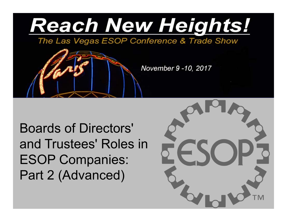

The Las Vegas ESOP Conference & Trade Show

November 9 -10, 2017

Boards of Directors' and Trustees' Roles in ESOP Companies: Part 2 (Advanced)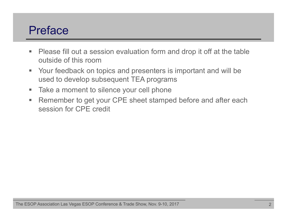## Preface

- $\blacksquare$  Please fill out a session evaluation form and drop it off at the table outside of this room
- $\mathcal{L}_{\mathcal{A}}$  Your feedback on topics and presenters is important and will be used to develop subsequent TEA programs
- $\mathcal{L}_{\mathcal{A}}$ Take a moment to silence your cell phone
- $\mathbf{u}$  Remember to get your CPE sheet stamped before and after each session for CPE credit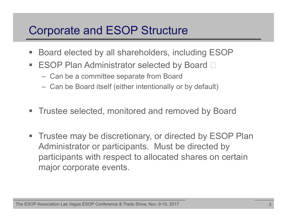## Corporate and ESOP Structure

- $\blacksquare$ Board elected by all shareholders, including ESOP
- $\Box$ ESOP Plan Administrator selected by Board  $\square$ 
	- Can be a committee separate from Board
	- Can be Board itself (either intentionally or by default)
- ш Trustee selected, monitored and removed by Board
- $\blacksquare$  Trustee may be discretionary, or directed by ESOP Plan Administrator or participants. Must be directed by participants with respect to allocated shares on certain major corporate events.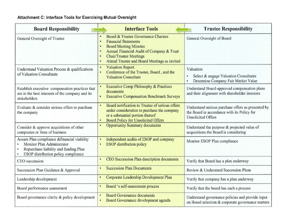#### Attachment C: Interface Tools for Exercising Mutual Oversight

| <b>Board Responsibility</b><br>u                                                                                                                           | <b>Interface Tools</b>                                                                                                                                                                                                                               | <b>Trustee Responsibility</b>                                                                                                  |
|------------------------------------------------------------------------------------------------------------------------------------------------------------|------------------------------------------------------------------------------------------------------------------------------------------------------------------------------------------------------------------------------------------------------|--------------------------------------------------------------------------------------------------------------------------------|
| General Oversight of Trustee                                                                                                                               | Board & Trustee Governance Charters<br>٠<br><b>Financial Statements</b><br><b>Board Meeting Minutes</b><br>٠<br>Annual Financial Audit of Company & Trust<br><b>Chair/Trustee Meetings</b><br>٠<br>Attend Trustee and Board Meetings as invited<br>٠ | General Oversight of Board                                                                                                     |
| Understand Valuation Process & qualifications<br>of Valuation Consultants                                                                                  | <b>Valuation Report</b><br>Conference of the Trustee, Board, and the<br>٠<br><b>Valuation Consultant</b>                                                                                                                                             | Valuation<br>Select & engage Valuation Consultants<br>Determine Company Fair Market Value<br>۰                                 |
| Establish executive compensation practices that<br>are in the best interests of the company and its<br>stakeholders                                        | <b>Executive Comp Philosophy &amp; Practices</b><br>documents<br><b>Executive Compensation Benchmark Surveys</b><br>٠                                                                                                                                | Understand Board-approved compensation plans<br>and their alignment with shareholder interests                                 |
| Evaluate & consider serious offers to purchase<br>the company                                                                                              | Board notification to Trustee of serious offers<br>٠<br>under consideration to purchase the company<br>or a substantial portion thereof<br>Board Policy for Unsolicited Offers<br>٠                                                                  | Understand serious purchase offers as presented by<br>the Board in accordance with its Policy for<br><b>Unsolicited Offers</b> |
| Consider & approve acquisitions of other<br>companies or lines of business                                                                                 | <b>Opportunity Summary documents</b><br>٠                                                                                                                                                                                                            | Understand the purpose & projected value of<br>acquisitions the Board is considering                                           |
| Assure Plan compliance & financial viability<br>Monitor Plan Administrator<br>Repurchase liability and funding Plan<br>ESOP distribution policy compliance | Independent audits of ESOP and company<br><b>ESOP</b> distribution policy                                                                                                                                                                            | Monitor ESOP Plan compliance                                                                                                   |
| CEO succession                                                                                                                                             | CEO Succession Plan description documents<br>٠                                                                                                                                                                                                       | Verify that Board has a plan underway                                                                                          |
| Succession Plan Guidance & Approval                                                                                                                        | <b>Succession Plan Documents</b>                                                                                                                                                                                                                     | Review & Understand Succession Plans                                                                                           |
| Leadership development                                                                                                                                     | Corporate Leadership Development Plan<br>٠                                                                                                                                                                                                           | Verify that company has a plan underway                                                                                        |
| Board performance assessment                                                                                                                               | Board 's self-assessment process<br>٠                                                                                                                                                                                                                | Verify that the board has such a process                                                                                       |
| Board governance clarity & policy development                                                                                                              | <b>Board Governance documents</b><br>Board Governance development agenda<br>٠                                                                                                                                                                        | Understand governance policies and provide input<br>on Board selection & corporate governance matters                          |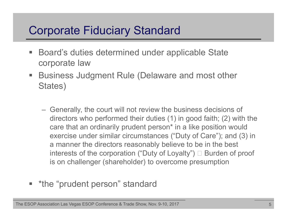## Corporate Fiduciary Standard

- $\blacksquare$  Board's duties determined under applicable State corporate law
- $\blacksquare$  Business Judgment Rule (Delaware and most other States)
	- Generally, the court will not review the business decisions of directors who performed their duties (1) in good faith; (2) with the care that an ordinarily prudent person\* in a like position would exercise under similar circumstances ("Duty of Care"); and (3) in a manner the directors reasonably believe to be in the best interests of the corporation ("Duty of Loyalty")  $\Box$  Burden of proof is on challenger (shareholder) to overcome presumption
- T. \*the "prudent person" standard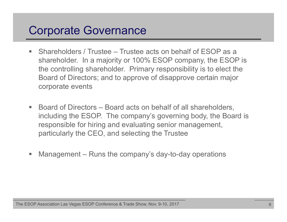## Corporate Governance

- $\blacksquare$  Shareholders / Trustee – Trustee acts on behalf of ESOP as a shareholder. In a majority or 100% ESOP company, the ESOP is the controlling shareholder. Primary responsibility is to elect the Board of Directors; and to approve of disapprove certain major corporate events
- F Board of Directors – Board acts on behalf of all shareholders, including the ESOP. The company's governing body, the Board is responsible for hiring and evaluating senior management, particularly the CEO, and selecting the Trustee
- $\overline{\phantom{a}}$ Management – Runs the company's day-to-day operations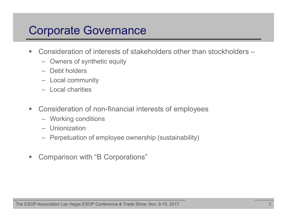## Corporate Governance

- $\blacksquare$ ■ Consideration of interests of stakeholders other than stockholders –
	- Owners of synthetic equity
	- Debt holders
	- Local community
	- Local charities
- $\mathcal{L}_{\mathcal{A}}$  Consideration of non-financial interests of employees
	- Working conditions
	- Unionization
	- Perpetuation of employee ownership (sustainability)
- $\blacksquare$ Comparison with "B Corporations"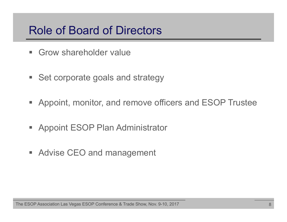## Role of Board of Directors

- $\blacksquare$ Grow shareholder value
- **Set corporate goals and strategy**
- Appoint, monitor, and remove officers and ESOP Trustee
- **Appoint ESOP Plan Administrator**
- **Advise CEO and management**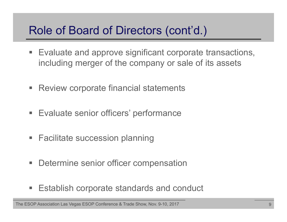## Role of Board of Directors (cont'd.)

- **Evaluate and approve significant corporate transactions,** including merger of the company or sale of its assets
- **Review corporate financial statements**
- **Evaluate senior officers' performance**
- **Facilitate succession planning**
- **Determine senior officer compensation**
- **Establish corporate standards and conduct**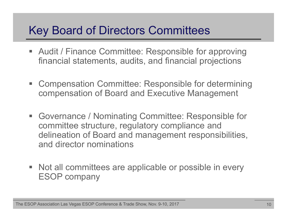## Key Board of Directors Committees

- T. Audit / Finance Committee: Responsible for approving financial statements, audits, and financial projections
- T. Compensation Committee: Responsible for determining compensation of Board and Executive Management
- $\mathbb{R}^n$  Governance / Nominating Committee: Responsible for committee structure, regulatory compliance and delineation of Board and management responsibilities, and director nominations
- Not all committees are applicable or possible in every ESOP company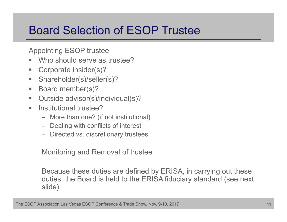## Board Selection of ESOP Trustee

Appointing ESOP trustee

- in 1 Who should serve as trustee?
- F Corporate insider(s)?
- $\overline{\phantom{a}}$ Shareholder(s)/seller(s)?
- $\blacksquare$ Board member(s)?
- $\blacksquare$ Outside advisor(s)/individual(s)?
- **The State**  Institutional trustee?
	- More than one? (if not institutional)
	- Dealing with conflicts of interest
	- Directed vs. discretionary trustees

Monitoring and Removal of trustee

Because these duties are defined by ERISA, in carrying out these duties, the Board is held to the ERISA fiduciary standard (see next slide)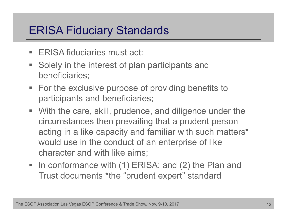## ERISA Fiduciary Standards

- $\blacksquare$ ERISA fiduciaries must act:
- $\Box$  Solely in the interest of plan participants and beneficiaries;
- **For the exclusive purpose of providing benefits to** participants and beneficiaries;
- With the care, skill, prudence, and diligence under the circumstances then prevailing that a prudent person acting in a like capacity and familiar with such matters\* would use in the conduct of an enterprise of like character and with like aims;
- In conformance with (1) ERISA; and (2) the Plan and Trust documents \*the "prudent expert" standard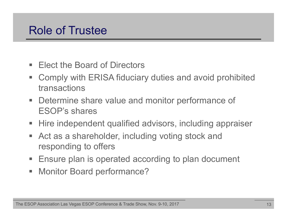## Role of Trustee

- П Elect the Board of Directors
- ш Comply with ERISA fiduciary duties and avoid prohibited transactions
- $\mathbb{R}^n$  Determine share value and monitor performance of ESOP's shares
- **Hire independent qualified advisors, including appraiser**
- $\mathbb{R}^n$  Act as a shareholder, including voting stock and responding to offers
- **Ensure plan is operated according to plan document**
- $\blacksquare$ Monitor Board performance?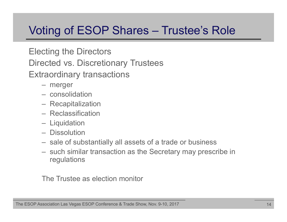## Voting of ESOP Shares – Trustee's Role

#### Electing the Directors

Directed vs. Discretionary Trustees

Extraordinary transactions

- merger
- consolidation
- Recapitalization
- Reclassification
- **Liquidation**
- Dissolution
- sale of substantially all assets of a trade or business
- such similar transaction as the Secretary may prescribe in regulations

The Trustee as election monitor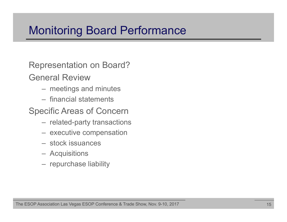## Monitoring Board Performance

Representation on Board?

General Review

- meetings and minutes
- financial statements

Specific Areas of Concern

- related-party transactions
- executive compensation
- stock issuances
- Acquisitions
- repurchase liability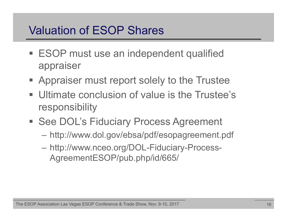## Valuation of ESOP Shares

- **ESOP must use an independent qualified** appraiser
- **Appraiser must report solely to the Trustee**
- **Ultimate conclusion of value is the Trustee's** responsibility
- **See DOL's Fiduciary Process Agreement** 
	- http://www.dol.gov/ebsa/pdf/esopagreement.pdf
	- http://www.nceo.org/DOL-Fiduciary-Process-AgreementESOP/pub.php/id/665/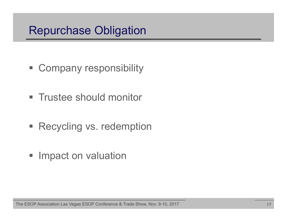## Repurchase Obligation

- **Example 1 Company responsibility**
- **Trustee should monitor**
- **Recycling vs. redemption**
- **Impact on valuation**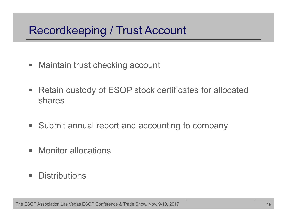## Recordkeeping / Trust Account

- $\blacksquare$ Maintain trust checking account
- $\blacksquare$  Retain custody of ESOP stock certificates for allocated shares
- **Submit annual report and accounting to company**
- $\mathbb{R}^n$ Monitor allocations
- **I Distributions**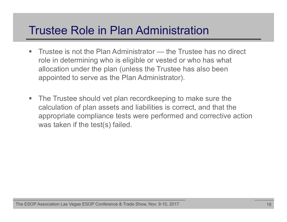## Trustee Role in Plan Administration

- $\blacksquare$  Trustee is not the Plan Administrator — the Trustee has no direct role in determining who is eligible or vested or who has what allocation under the plan (unless the Trustee has also been appointed to serve as the Plan Administrator).
- $\mathcal{L}_{\mathcal{A}}$  The Trustee should vet plan recordkeeping to make sure the calculation of plan assets and liabilities is correct, and that the appropriate compliance tests were performed and corrective action was taken if the test(s) failed.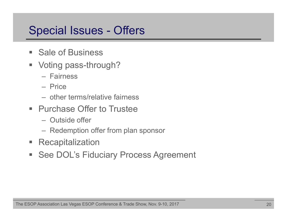## Special Issues - Offers

- **Sale of Business**
- ш Voting pass-through?
	- Fairness
	- Price
	- other terms/relative fairness
- **Purchase Offer to Trustee** 
	- Outside offer
	- Redemption offer from plan sponsor
- $\Box$ **Recapitalization**
- **See DOL's Fiduciary Process Agreement**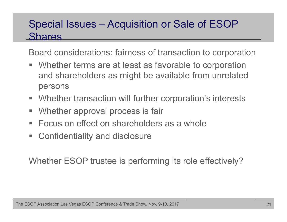#### Special Issues – Acquisition or Sale of ESOP **Shares**

Board considerations: fairness of transaction to corporation

- **Number 18 area in the set of any original EV is allocated Terms** are at least as favorable to corporation and shareholders as might be available from unrelated persons
- **Whether transaction will further corporation's interests**
- $\mathcal{L}_{\mathcal{A}}$ Whether approval process is fair
- П Focus on effect on shareholders as a whole
- T. Confidentiality and disclosure

Whether ESOP trustee is performing its role effectively?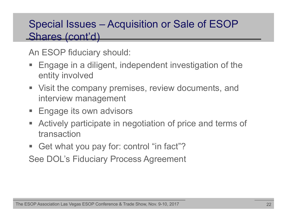#### Special Issues – Acquisition or Sale of ESOP Shares (cont'd)

An ESOP fiduciary should:

- Engage in a diligent, independent investigation of the entity involved
- **Uisit the company premises, review documents, and** interview management
- **Engage its own advisors**
- $\mathcal{L}_{\mathcal{A}}$  Actively participate in negotiation of price and terms of transaction
- Get what you pay for: control "in fact"?

See DOL's Fiduciary Process Agreement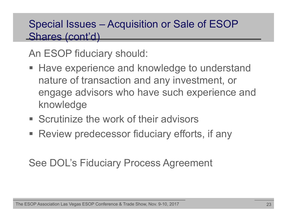#### Special Issues – Acquisition or Sale of ESOP Shares (cont'd)

An ESOP fiduciary should:

- **Have experience and knowledge to understand** nature of transaction and any investment, or engage advisors who have such experience and knowledge
- **Scrutinize the work of their advisors**
- Review predecessor fiduciary efforts, if any

#### See DOL's Fiduciary Process Agreement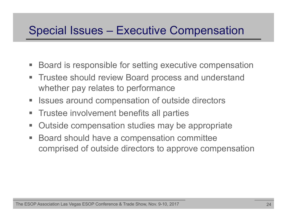## Special Issues – Executive Compensation

- Board is responsible for setting executive compensation
- $\Box$  . Trustee should review Board process and understand whether pay relates to performance
- Issues around compensation of outside directors
- $\mathbb{R}^n$ Trustee involvement benefits all parties
- $\mathbb{R}^n$ Outside compensation studies may be appropriate
- ш Board should have a compensation committee comprised of outside directors to approve compensation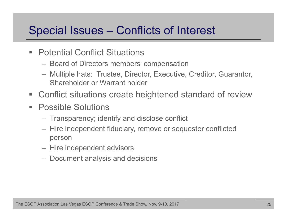## Special Issues – Conflicts of Interest

- Potential Conflict Situations
	- Board of Directors members' compensation
	- Multiple hats: Trustee, Director, Executive, Creditor, Guarantor, Shareholder or Warrant holder
- T. Conflict situations create heightened standard of review
- $\Box$  . Possible Solutions
	- Transparency; identify and disclose conflict
	- Hire independent fiduciary, remove or sequester conflicted person
	- Hire independent advisors
	- Document analysis and decisions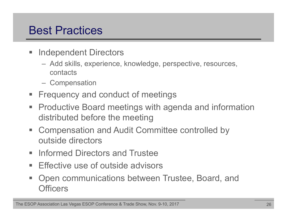## Best Practices

- $\Box$  Independent Directors
	- Add skills, experience, knowledge, perspective, resources, contacts
	- **Compensation**
- T. Frequency and conduct of meetings
- **Productive Board meetings with agenda and information** distributed before the meeting
- $\blacksquare$  Compensation and Audit Committee controlled by outside directors
- **Informed Directors and Trustee**
- $\mathcal{L}_{\mathcal{A}}$ Effective use of outside advisors
- $\mathcal{L}_{\mathcal{A}}$  Open communications between Trustee, Board, and **Officers**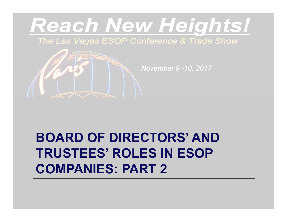

# **BOARD OF DIRECTORS' AND TRUSTEES' ROLES IN ESOPCOMPANIES: PART 2**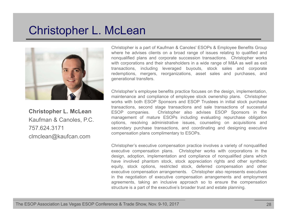## Christopher L. McLean



**Christopher L. McLean** Kaufman & Canoles, P.C. 757.624.3171clmclean@kaufcan.com

Christopher is <sup>a</sup> part of Kaufman & Canoles' ESOPs & Employee Benefits Group where he advises clients on <sup>a</sup> broad range of issues relating to qualified and nonqualified plans and corporate succession transactions. Christopher works with corporations and their shareholders in <sup>a</sup> wide range of M&A as well as exit transactions, including leveraged buyouts, stock sales and corporate redemptions, mergers, reorganizations, asset sales and purchases, and generational transfers.

Christopher's employee benefits practice focuses on the design, implementation, maintenance and compliance of employee stock ownership plans. Christopher works with both ESOP Sponsors and ESOP Trustees in initial stock purchase transactions, second stage transactions and sale transactions of successful ESOP companies. Christopher also advises ESOP Sponsors in the management of mature ESOPs including evaluating repurchase obligation options, resolving administrative issues, counseling on acquisitions and secondary purchase transactions, and coordinating and designing executive compensation plans complimentary to ESOPs.

Christopher's executive compensation practice involves <sup>a</sup> variety of nonqualified executive compensation plans. Christopher works with corporations in the design, adoption, implementation and compliance of nonqualified plans which have involved phantom stock, stock appreciation rights and other synthetic equity, stock options, restricted stock, deferred compensation and other executive compensation arrangements. Christopher also represents executives in the negotiation of executive compensation arrangements and employment agreements, taking an inclusive approach so to ensure the compensation structure is <sup>a</sup> part of the executive's broader trust and estate planning.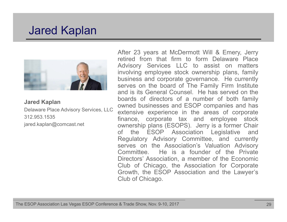#### Jared Kaplan



**Jared Kaplan**

Delaware Place Advisory Services, LLC 312.953.1535jared.kaplan@comcast.net

After 23 years at McDermott Will & Emery, Jerry retired from that firm to form Delaware Place Advisory Services LLC to assist on matters involving employee stock ownership plans, family business and corporate governance. He currently serves on the board of The Family Firm Institute and is its General Counsel. He has served on the boards of directors of <sup>a</sup> number of both family owned businesses and ESOP companies and has extensive experience in the areas of corporate finance, corporate tax and employee stock ownership plans (ESOPS). Jerry is <sup>a</sup> former Chair of the ESOP Association Legislative and Regulatory Advisory Committee, and currently serves on the Association's Valuation Advisory Committee. He is <sup>a</sup> founder of the Private Directors' Association, <sup>a</sup> member of the Economic Club of Chicago, the Association for Corporate Growth, the ESOP Association and the Lawyer's Club of Chicago.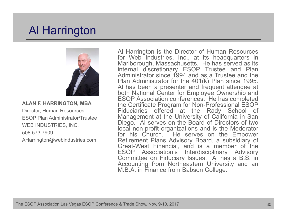## Al Harrington



**ALAN F. HARRINGTON, MBA** Director, Human Resources ESOP Plan Administrator/TrusteeWEB INDUSTRIES, INC. 508.573.7909AHarrington@webindustries.com

Al Harrington is the Director of Human Resources for Web Industries, Inc., at its headquarters in Marlborough, Massachusetts. He has served as its internal discretionary ESOP Trustee and Plan Administrator since 1994 and as <sup>a</sup> Trustee and the Plan Administrator for the 401(k) Plan since 1995. Al has been <sup>a</sup> presenter and frequent attendee at both National Center for Employee Ownership and ESOP Association conferences. He has completed the Certificate Program for Non-Professional ESOP Fiduciaries offered at the Rady School of Management at the University of California in San Diego. Al serves on the Board of Directors of two local non-profit organizations and is the Moderator for his Church. He serves on the Empower Retirement Plans Advisory Board, <sup>a</sup> subsidiary of Great-West Financial, and is <sup>a</sup> member of the ESOP Association's Interdisciplinary Advisory Committee on Fiduciary Issues. Al has <sup>a</sup> B.S. in Accounting from Northeastern University and an M.B.A. in Finance from Babson College.